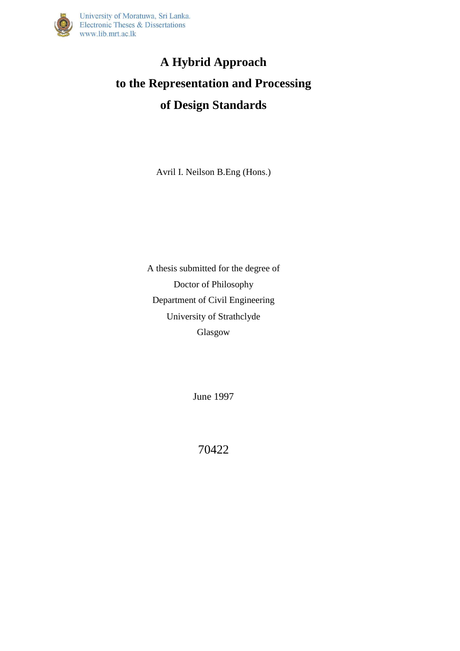

## **A Hybrid Approach to the Representation and Processing of Design Standards**

Avril I. Neilson B.Eng (Hons.)

A thesis submitted for the degree of Doctor of Philosophy Department of Civil Engineering University of Strathclyde Glasgow

June 1997

70422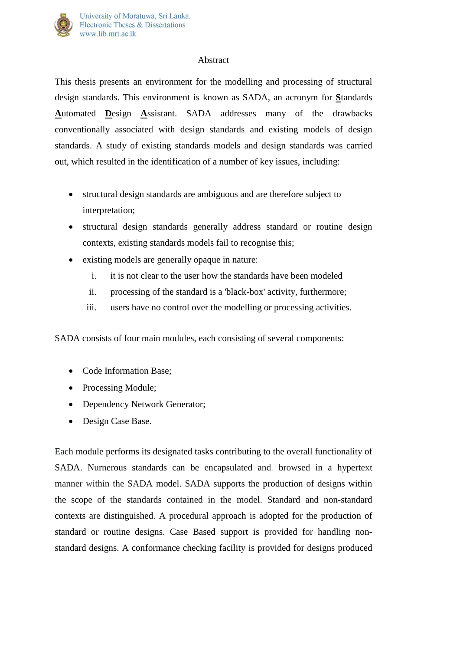## Abstract

This thesis presents an environment for the modelling and processing of structural design standards. This environment is known as SADA, an acronym for **S**tandards **A**utomated **D**esign **A**ssistant. SADA addresses many of the drawbacks conventionally associated with design standards and existing models of design standards. A study of existing standards models and design standards was carried out, which resulted in the identification of a number of key issues, including:

- structural design standards are ambiguous and are therefore subject to interpretation;
- structural design standards generally address standard or routine design contexts, existing standards models fail to recognise this;
- existing models are generally opaque in nature:
	- i. it is not clear to the user how the standards have been modeled
	- ii. processing of the standard is a 'black-box' activity, furthermore;
	- iii. users have no control over the modelling or processing activities.

SADA consists of four main modules, each consisting of several components:

- Code Information Base:
- Processing Module;
- Dependency Network Generator;
- Design Case Base.

Each module performs its designated tasks contributing to the overall functionality of SADA. Nurnerous standards can be encapsulated and. browsed in a hypertext manner within the SADA model. SADA supports the production of designs within the scope of the standards contained in the model. Standard and non-standard contexts are distinguished. A procedural approach is adopted for the production of standard or routine designs. Case Based support is provided for handling nonstandard designs. A conformance checking facility is provided for designs produced